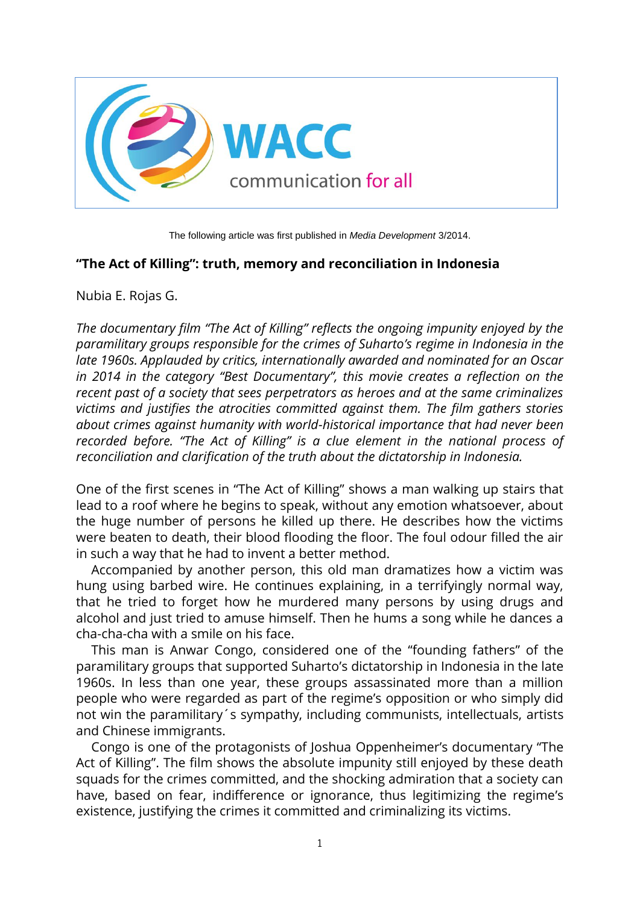

The following article was first published in *Media Development* 3/2014.

# **"The Act of Killing": truth, memory and reconciliation in Indonesia**

Nubia E. Rojas G.

*The documentary film "The Act of Killing" reflects the ongoing impunity enjoyed by the paramilitary groups responsible for the crimes of Suharto's regime in Indonesia in the late 1960s. Applauded by critics, internationally awarded and nominated for an Oscar in 2014 in the category "Best Documentary", this movie creates a reflection on the recent past of a society that sees perpetrators as heroes and at the same criminalizes victims and justifies the atrocities committed against them. The film gathers stories about crimes against humanity with world-historical importance that had never been recorded before. "The Act of Killing" is a clue element in the national process of reconciliation and clarification of the truth about the dictatorship in Indonesia.*

One of the first scenes in "The Act of Killing" shows a man walking up stairs that lead to a roof where he begins to speak, without any emotion whatsoever, about the huge number of persons he killed up there. He describes how the victims were beaten to death, their blood flooding the floor. The foul odour filled the air in such a way that he had to invent a better method.

Accompanied by another person, this old man dramatizes how a victim was hung using barbed wire. He continues explaining, in a terrifyingly normal way, that he tried to forget how he murdered many persons by using drugs and alcohol and just tried to amuse himself. Then he hums a song while he dances a cha-cha-cha with a smile on his face.

This man is Anwar Congo, considered one of the "founding fathers" of the paramilitary groups that supported Suharto's dictatorship in Indonesia in the late 1960s. In less than one year, these groups assassinated more than a million people who were regarded as part of the regime's opposition or who simply did not win the paramilitary´s sympathy, including communists, intellectuals, artists and Chinese immigrants.

Congo is one of the protagonists of Joshua Oppenheimer's documentary "The Act of Killing". The film shows the absolute impunity still enjoyed by these death squads for the crimes committed, and the shocking admiration that a society can have, based on fear, indifference or ignorance, thus legitimizing the regime's existence, justifying the crimes it committed and criminalizing its victims.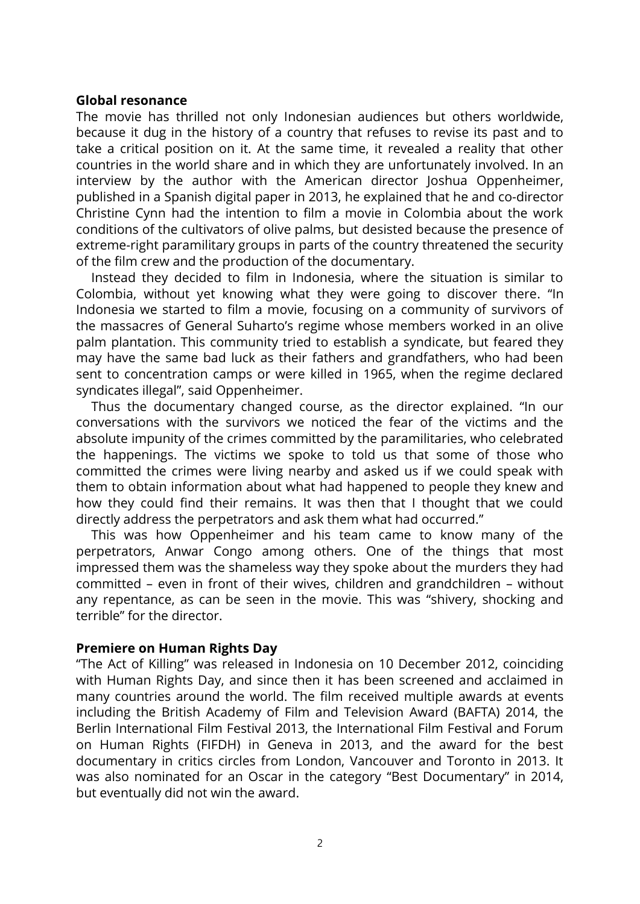#### **Global resonance**

The movie has thrilled not only Indonesian audiences but others worldwide, because it dug in the history of a country that refuses to revise its past and to take a critical position on it. At the same time, it revealed a reality that other countries in the world share and in which they are unfortunately involved. In an interview by the author with the American director Joshua Oppenheimer, published in a Spanish digital paper in 2013, he explained that he and co-director Christine Cynn had the intention to film a movie in Colombia about the work conditions of the cultivators of olive palms, but desisted because the presence of extreme-right paramilitary groups in parts of the country threatened the security of the film crew and the production of the documentary.

Instead they decided to film in Indonesia, where the situation is similar to Colombia, without yet knowing what they were going to discover there. "In Indonesia we started to film a movie, focusing on a community of survivors of the massacres of General Suharto's regime whose members worked in an olive palm plantation. This community tried to establish a syndicate, but feared they may have the same bad luck as their fathers and grandfathers, who had been sent to concentration camps or were killed in 1965, when the regime declared syndicates illegal", said Oppenheimer.

Thus the documentary changed course, as the director explained. "In our conversations with the survivors we noticed the fear of the victims and the absolute impunity of the crimes committed by the paramilitaries, who celebrated the happenings. The victims we spoke to told us that some of those who committed the crimes were living nearby and asked us if we could speak with them to obtain information about what had happened to people they knew and how they could find their remains. It was then that I thought that we could directly address the perpetrators and ask them what had occurred."

This was how Oppenheimer and his team came to know many of the perpetrators, Anwar Congo among others. One of the things that most impressed them was the shameless way they spoke about the murders they had committed – even in front of their wives, children and grandchildren – without any repentance, as can be seen in the movie. This was "shivery, shocking and terrible" for the director.

### **Premiere on Human Rights Day**

"The Act of Killing" was released in Indonesia on 10 December 2012, coinciding with Human Rights Day, and since then it has been screened and acclaimed in many countries around the world. The film received multiple awards at events including the British Academy of Film and Television Award (BAFTA) 2014, the Berlin International Film Festival 2013, the International Film Festival and Forum on Human Rights (FIFDH) in Geneva in 2013, and the award for the best documentary in critics circles from London, Vancouver and Toronto in 2013. It was also nominated for an Oscar in the category "Best Documentary" in 2014, but eventually did not win the award.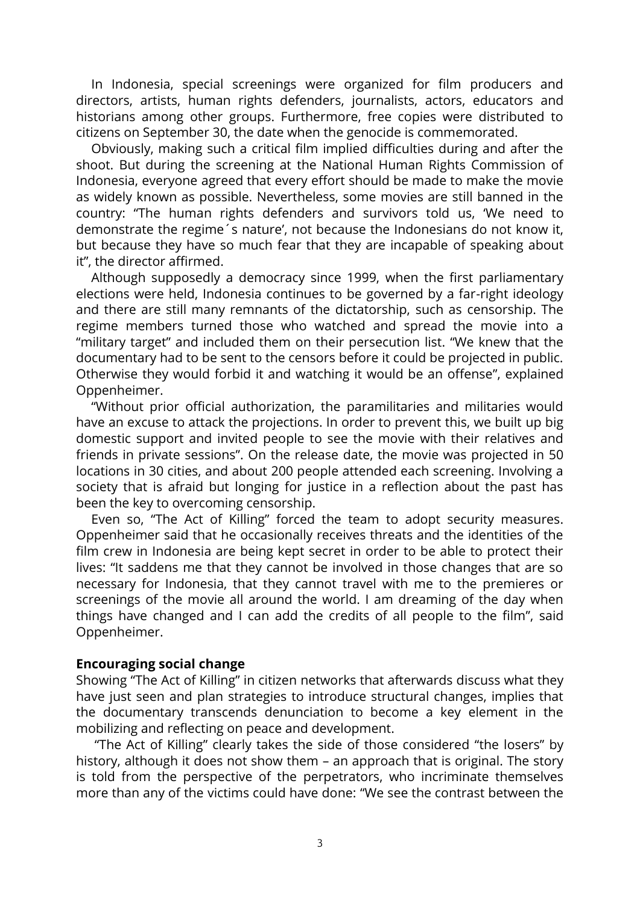In Indonesia, special screenings were organized for film producers and directors, artists, human rights defenders, journalists, actors, educators and historians among other groups. Furthermore, free copies were distributed to citizens on September 30, the date when the genocide is commemorated.

Obviously, making such a critical film implied difficulties during and after the shoot. But during the screening at the National Human Rights Commission of Indonesia, everyone agreed that every effort should be made to make the movie as widely known as possible. Nevertheless, some movies are still banned in the country: "The human rights defenders and survivors told us, 'We need to demonstrate the regime´s nature', not because the Indonesians do not know it, but because they have so much fear that they are incapable of speaking about it", the director affirmed.

Although supposedly a democracy since 1999, when the first parliamentary elections were held, Indonesia continues to be governed by a far-right ideology and there are still many remnants of the dictatorship, such as censorship. The regime members turned those who watched and spread the movie into a "military target" and included them on their persecution list. "We knew that the documentary had to be sent to the censors before it could be projected in public. Otherwise they would forbid it and watching it would be an offense", explained Oppenheimer.

"Without prior official authorization, the paramilitaries and militaries would have an excuse to attack the projections. In order to prevent this, we built up big domestic support and invited people to see the movie with their relatives and friends in private sessions". On the release date, the movie was projected in 50 locations in 30 cities, and about 200 people attended each screening. Involving a society that is afraid but longing for justice in a reflection about the past has been the key to overcoming censorship.

Even so, "The Act of Killing" forced the team to adopt security measures. Oppenheimer said that he occasionally receives threats and the identities of the film crew in Indonesia are being kept secret in order to be able to protect their lives: "It saddens me that they cannot be involved in those changes that are so necessary for Indonesia, that they cannot travel with me to the premieres or screenings of the movie all around the world. I am dreaming of the day when things have changed and I can add the credits of all people to the film", said Oppenheimer.

### **Encouraging social change**

Showing "The Act of Killing" in citizen networks that afterwards discuss what they have just seen and plan strategies to introduce structural changes, implies that the documentary transcends denunciation to become a key element in the mobilizing and reflecting on peace and development.

"The Act of Killing" clearly takes the side of those considered "the losers" by history, although it does not show them – an approach that is original. The story is told from the perspective of the perpetrators, who incriminate themselves more than any of the victims could have done: "We see the contrast between the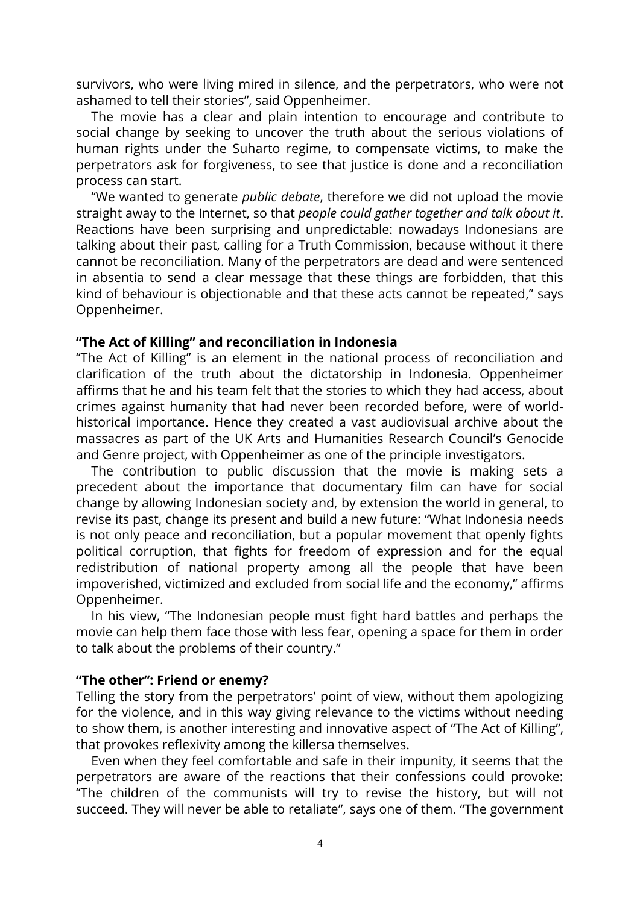survivors, who were living mired in silence, and the perpetrators, who were not ashamed to tell their stories", said Oppenheimer.

The movie has a clear and plain intention to encourage and contribute to social change by seeking to uncover the truth about the serious violations of human rights under the Suharto regime, to compensate victims, to make the perpetrators ask for forgiveness, to see that justice is done and a reconciliation process can start.

"We wanted to generate *public debate*, therefore we did not upload the movie straight away to the Internet, so that *people could gather together and talk about it*. Reactions have been surprising and unpredictable: nowadays Indonesians are talking about their past, calling for a Truth Commission, because without it there cannot be reconciliation. Many of the perpetrators are dead and were sentenced in absentia to send a clear message that these things are forbidden, that this kind of behaviour is objectionable and that these acts cannot be repeated," says Oppenheimer.

#### **"The Act of Killing" and reconciliation in Indonesia**

"The Act of Killing" is an element in the national process of reconciliation and clarification of the truth about the dictatorship in Indonesia. Oppenheimer affirms that he and his team felt that the stories to which they had access, about crimes against humanity that had never been recorded before, were of worldhistorical importance. Hence they created a vast audiovisual archive about the massacres as part of the UK Arts and Humanities Research Council's Genocide and Genre project, with Oppenheimer as one of the principle investigators.

The contribution to public discussion that the movie is making sets a precedent about the importance that documentary film can have for social change by allowing Indonesian society and, by extension the world in general, to revise its past, change its present and build a new future: "What Indonesia needs is not only peace and reconciliation, but a popular movement that openly fights political corruption, that fights for freedom of expression and for the equal redistribution of national property among all the people that have been impoverished, victimized and excluded from social life and the economy," affirms Oppenheimer.

In his view, "The Indonesian people must fight hard battles and perhaps the movie can help them face those with less fear, opening a space for them in order to talk about the problems of their country."

# **"The other": Friend or enemy?**

Telling the story from the perpetrators' point of view, without them apologizing for the violence, and in this way giving relevance to the victims without needing to show them, is another interesting and innovative aspect of "The Act of Killing", that provokes reflexivity among the killersa themselves.

Even when they feel comfortable and safe in their impunity, it seems that the perpetrators are aware of the reactions that their confessions could provoke: "The children of the communists will try to revise the history, but will not succeed. They will never be able to retaliate", says one of them. "The government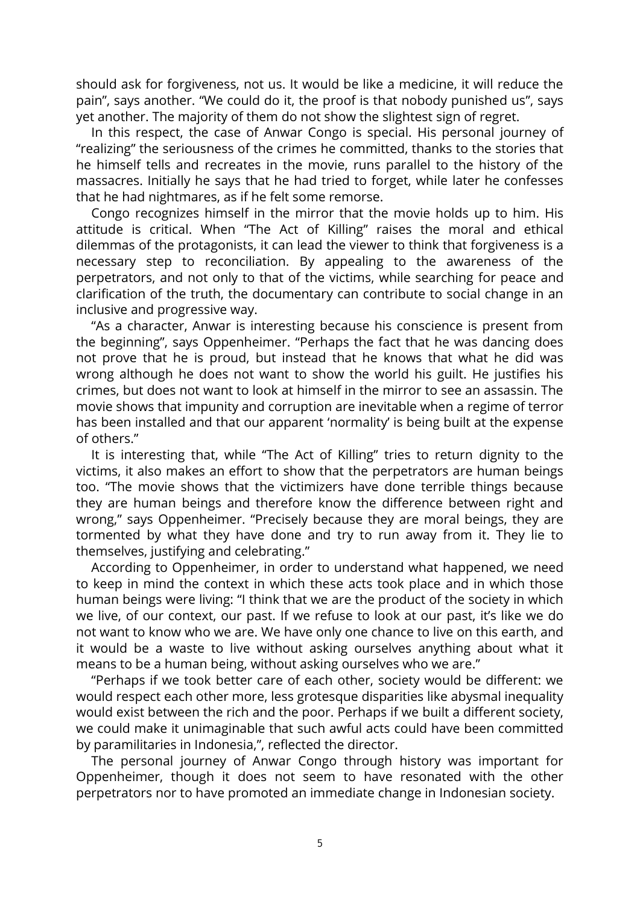should ask for forgiveness, not us. It would be like a medicine, it will reduce the pain", says another. "We could do it, the proof is that nobody punished us", says yet another. The majority of them do not show the slightest sign of regret.

In this respect, the case of Anwar Congo is special. His personal journey of "realizing" the seriousness of the crimes he committed, thanks to the stories that he himself tells and recreates in the movie, runs parallel to the history of the massacres. Initially he says that he had tried to forget, while later he confesses that he had nightmares, as if he felt some remorse.

Congo recognizes himself in the mirror that the movie holds up to him. His attitude is critical. When "The Act of Killing" raises the moral and ethical dilemmas of the protagonists, it can lead the viewer to think that forgiveness is a necessary step to reconciliation. By appealing to the awareness of the perpetrators, and not only to that of the victims, while searching for peace and clarification of the truth, the documentary can contribute to social change in an inclusive and progressive way.

"As a character, Anwar is interesting because his conscience is present from the beginning", says Oppenheimer. "Perhaps the fact that he was dancing does not prove that he is proud, but instead that he knows that what he did was wrong although he does not want to show the world his guilt. He justifies his crimes, but does not want to look at himself in the mirror to see an assassin. The movie shows that impunity and corruption are inevitable when a regime of terror has been installed and that our apparent 'normality' is being built at the expense of others."

It is interesting that, while "The Act of Killing" tries to return dignity to the victims, it also makes an effort to show that the perpetrators are human beings too. "The movie shows that the victimizers have done terrible things because they are human beings and therefore know the difference between right and wrong," says Oppenheimer. "Precisely because they are moral beings, they are tormented by what they have done and try to run away from it. They lie to themselves, justifying and celebrating."

According to Oppenheimer, in order to understand what happened, we need to keep in mind the context in which these acts took place and in which those human beings were living: "I think that we are the product of the society in which we live, of our context, our past. If we refuse to look at our past, it's like we do not want to know who we are. We have only one chance to live on this earth, and it would be a waste to live without asking ourselves anything about what it means to be a human being, without asking ourselves who we are."

"Perhaps if we took better care of each other, society would be different: we would respect each other more, less grotesque disparities like abysmal inequality would exist between the rich and the poor. Perhaps if we built a different society, we could make it unimaginable that such awful acts could have been committed by paramilitaries in Indonesia,", reflected the director.

The personal journey of Anwar Congo through history was important for Oppenheimer, though it does not seem to have resonated with the other perpetrators nor to have promoted an immediate change in Indonesian society.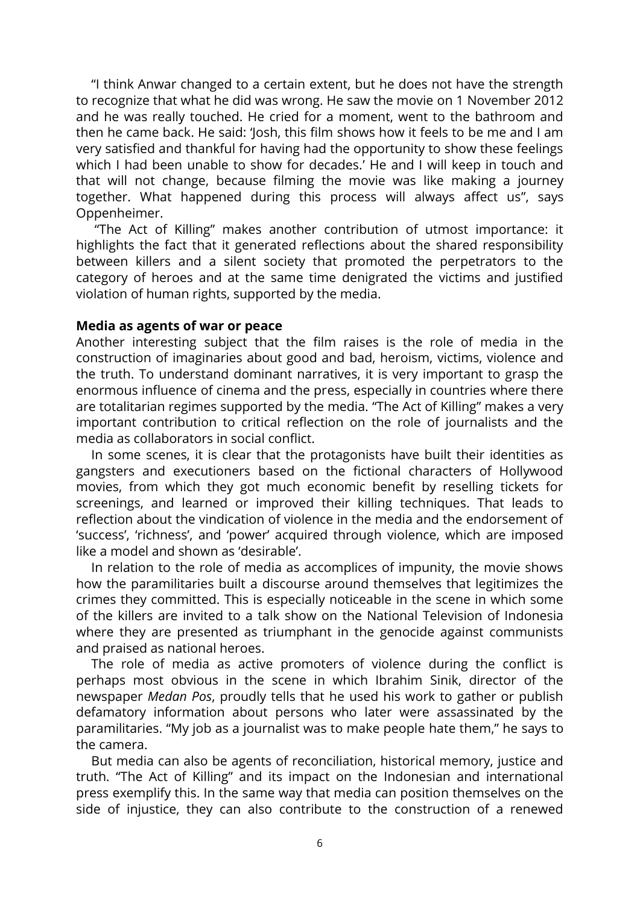"I think Anwar changed to a certain extent, but he does not have the strength to recognize that what he did was wrong. He saw the movie on 1 November 2012 and he was really touched. He cried for a moment, went to the bathroom and then he came back. He said: 'Josh, this film shows how it feels to be me and I am very satisfied and thankful for having had the opportunity to show these feelings which I had been unable to show for decades.' He and I will keep in touch and that will not change, because filming the movie was like making a journey together. What happened during this process will always affect us", says Oppenheimer.

"The Act of Killing" makes another contribution of utmost importance: it highlights the fact that it generated reflections about the shared responsibility between killers and a silent society that promoted the perpetrators to the category of heroes and at the same time denigrated the victims and justified violation of human rights, supported by the media.

### **Media as agents of war or peace**

Another interesting subject that the film raises is the role of media in the construction of imaginaries about good and bad, heroism, victims, violence and the truth. To understand dominant narratives, it is very important to grasp the enormous influence of cinema and the press, especially in countries where there are totalitarian regimes supported by the media. "The Act of Killing" makes a very important contribution to critical reflection on the role of journalists and the media as collaborators in social conflict.

In some scenes, it is clear that the protagonists have built their identities as gangsters and executioners based on the fictional characters of Hollywood movies, from which they got much economic benefit by reselling tickets for screenings, and learned or improved their killing techniques. That leads to reflection about the vindication of violence in the media and the endorsement of 'success', 'richness', and 'power' acquired through violence, which are imposed like a model and shown as 'desirable'.

In relation to the role of media as accomplices of impunity, the movie shows how the paramilitaries built a discourse around themselves that legitimizes the crimes they committed. This is especially noticeable in the scene in which some of the killers are invited to a talk show on the National Television of Indonesia where they are presented as triumphant in the genocide against communists and praised as national heroes.

The role of media as active promoters of violence during the conflict is perhaps most obvious in the scene in which Ibrahim Sinik, director of the newspaper *Medan Pos*, proudly tells that he used his work to gather or publish defamatory information about persons who later were assassinated by the paramilitaries. "My job as a journalist was to make people hate them," he says to the camera.

But media can also be agents of reconciliation, historical memory, justice and truth. "The Act of Killing" and its impact on the Indonesian and international press exemplify this. In the same way that media can position themselves on the side of injustice, they can also contribute to the construction of a renewed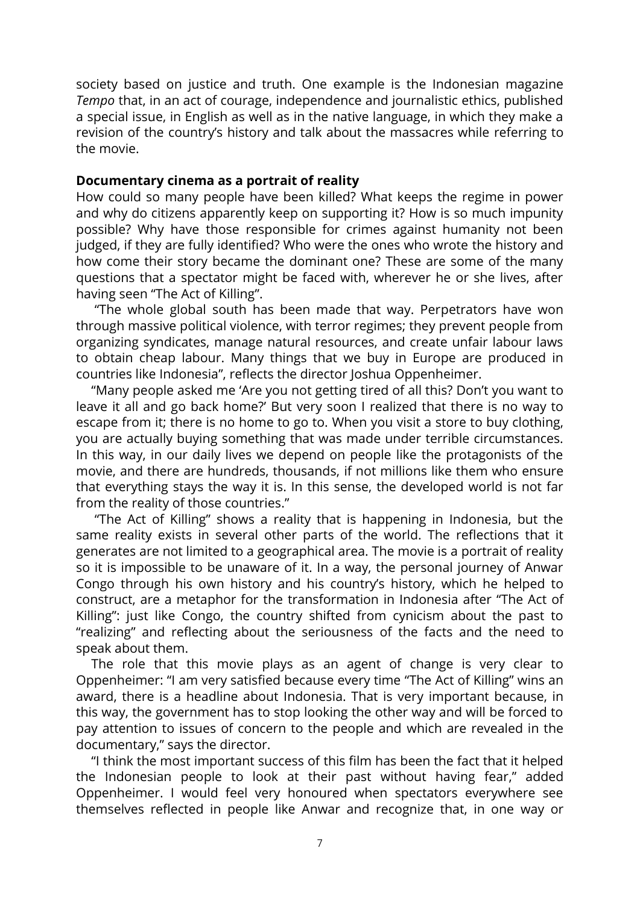society based on justice and truth. One example is the Indonesian magazine *Tempo* that, in an act of courage, independence and journalistic ethics, published a special issue, in English as well as in the native language, in which they make a revision of the country's history and talk about the massacres while referring to the movie.

# **Documentary cinema as a portrait of reality**

How could so many people have been killed? What keeps the regime in power and why do citizens apparently keep on supporting it? How is so much impunity possible? Why have those responsible for crimes against humanity not been judged, if they are fully identified? Who were the ones who wrote the history and how come their story became the dominant one? These are some of the many questions that a spectator might be faced with, wherever he or she lives, after having seen "The Act of Killing".

"The whole global south has been made that way. Perpetrators have won through massive political violence, with terror regimes; they prevent people from organizing syndicates, manage natural resources, and create unfair labour laws to obtain cheap labour. Many things that we buy in Europe are produced in countries like Indonesia", reflects the director Joshua Oppenheimer.

"Many people asked me 'Are you not getting tired of all this? Don't you want to leave it all and go back home?' But very soon I realized that there is no way to escape from it; there is no home to go to. When you visit a store to buy clothing, you are actually buying something that was made under terrible circumstances. In this way, in our daily lives we depend on people like the protagonists of the movie, and there are hundreds, thousands, if not millions like them who ensure that everything stays the way it is. In this sense, the developed world is not far from the reality of those countries."

"The Act of Killing" shows a reality that is happening in Indonesia, but the same reality exists in several other parts of the world. The reflections that it generates are not limited to a geographical area. The movie is a portrait of reality so it is impossible to be unaware of it. In a way, the personal journey of Anwar Congo through his own history and his country's history, which he helped to construct, are a metaphor for the transformation in Indonesia after "The Act of Killing": just like Congo, the country shifted from cynicism about the past to "realizing" and reflecting about the seriousness of the facts and the need to speak about them.

The role that this movie plays as an agent of change is very clear to Oppenheimer: "I am very satisfied because every time "The Act of Killing" wins an award, there is a headline about Indonesia. That is very important because, in this way, the government has to stop looking the other way and will be forced to pay attention to issues of concern to the people and which are revealed in the documentary," says the director.

"I think the most important success of this film has been the fact that it helped the Indonesian people to look at their past without having fear," added Oppenheimer. I would feel very honoured when spectators everywhere see themselves reflected in people like Anwar and recognize that, in one way or